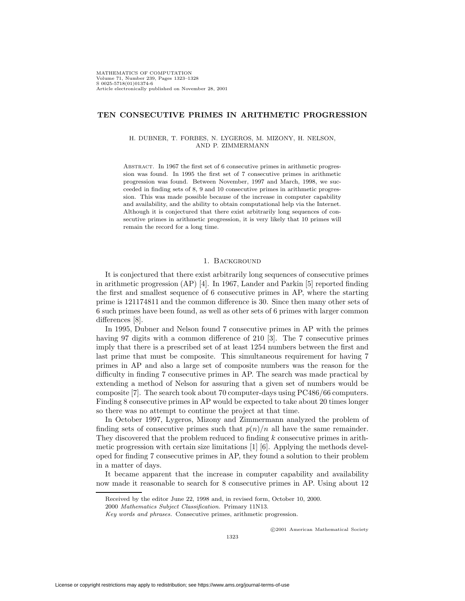## **TEN CONSECUTIVE PRIMES IN ARITHMETIC PROGRESSION**

#### H. DUBNER, T. FORBES, N. LYGEROS, M. MIZONY, H. NELSON, AND P. ZIMMERMANN

Abstract. In 1967 the first set of 6 consecutive primes in arithmetic progression was found. In 1995 the first set of 7 consecutive primes in arithmetic progression was found. Between November, 1997 and March, 1998, we succeeded in finding sets of 8, 9 and 10 consecutive primes in arithmetic progression. This was made possible because of the increase in computer capability and availability, and the ability to obtain computational help via the Internet. Although it is conjectured that there exist arbitrarily long sequences of consecutive primes in arithmetic progression, it is very likely that 10 primes will remain the record for a long time.

## 1. Background

It is conjectured that there exist arbitrarily long sequences of consecutive primes in arithmetic progression (AP) [4]. In 1967, Lander and Parkin [5] reported finding the first and smallest sequence of 6 consecutive primes in AP, where the starting prime is 121174811 and the common difference is 30. Since then many other sets of 6 such primes have been found, as well as other sets of 6 primes with larger common differences [8].

In 1995, Dubner and Nelson found 7 consecutive primes in AP with the primes having 97 digits with a common difference of 210 [3]. The 7 consecutive primes imply that there is a prescribed set of at least 1254 numbers between the first and last prime that must be composite. This simultaneous requirement for having 7 primes in AP and also a large set of composite numbers was the reason for the difficulty in finding 7 consecutive primes in AP. The search was made practical by extending a method of Nelson for assuring that a given set of numbers would be composite [7]. The search took about 70 computer-days using PC486/66 computers. Finding 8 consecutive primes in AP would be expected to take about 20 times longer so there was no attempt to continue the project at that time.

In October 1997, Lygeros, Mizony and Zimmermann analyzed the problem of finding sets of consecutive primes such that  $p(n)/n$  all have the same remainder. They discovered that the problem reduced to finding k consecutive primes in arithmetic progression with certain size limitations [1] [6]. Applying the methods developed for finding 7 consecutive primes in AP, they found a solution to their problem in a matter of days.

It became apparent that the increase in computer capability and availability now made it reasonable to search for 8 consecutive primes in AP. Using about 12

c 2001 American Mathematical Society

Received by the editor June 22, 1998 and, in revised form, October 10, 2000.

<sup>2000</sup> Mathematics Subject Classification. Primary 11N13.

Key words and phrases. Consecutive primes, arithmetic progression.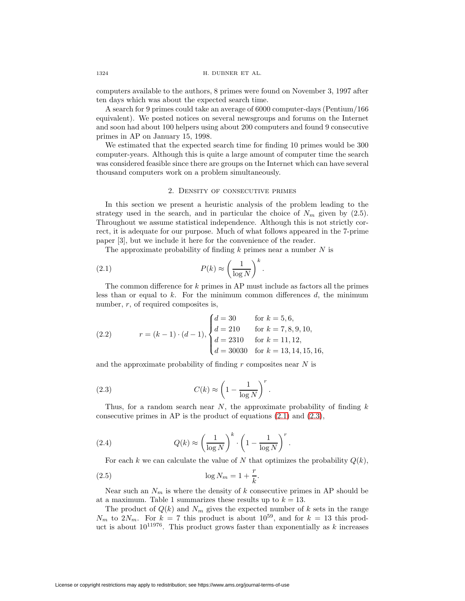#### 1324 H. DUBNER ET AL.

computers available to the authors, 8 primes were found on November 3, 1997 after ten days which was about the expected search time.

A search for 9 primes could take an average of 6000 computer-days (Pentium/166 equivalent). We posted notices on several newsgroups and forums on the Internet and soon had about 100 helpers using about 200 computers and found 9 consecutive primes in AP on January 15, 1998.

We estimated that the expected search time for finding 10 primes would be 300 computer-years. Although this is quite a large amount of computer time the search was considered feasible since there are groups on the Internet which can have several thousand computers work on a problem simultaneously.

### 2. Density of consecutive primes

In this section we present a heuristic analysis of the problem leading to the strategy used in the search, and in particular the choice of  $N_m$  given by (2.5). Throughout we assume statistical independence. Although this is not strictly correct, it is adequate for our purpose. Much of what follows appeared in the 7-prime paper [3], but we include it here for the convenience of the reader.

The approximate probability of finding  $k$  primes near a number  $N$  is

<span id="page-1-0"></span>(2.1) 
$$
P(k) \approx \left(\frac{1}{\log N}\right)^k.
$$

The common difference for k primes in AP must include as factors all the primes less than or equal to  $k$ . For the minimum common differences  $d$ , the minimum number,  $r$ , of required composites is,

(2.2) 
$$
r = (k - 1) \cdot (d - 1), \begin{cases} d = 30 & \text{for } k = 5, 6, \\ d = 210 & \text{for } k = 7, 8, 9, 10, \\ d = 2310 & \text{for } k = 11, 12, \\ d = 30030 & \text{for } k = 13, 14, 15, 16, \end{cases}
$$

and the approximate probability of finding r composites near  $N$  is

<span id="page-1-1"></span>(2.3) 
$$
C(k) \approx \left(1 - \frac{1}{\log N}\right)^r.
$$

Thus, for a random search near N, the approximate probability of finding  $k$ consecutive primes in AP is the product of equations [\(2.1\)](#page-1-0) and [\(2.3\)](#page-1-1),

(2.4) 
$$
Q(k) \approx \left(\frac{1}{\log N}\right)^k \cdot \left(1 - \frac{1}{\log N}\right)^r.
$$

For each k we can calculate the value of N that optimizes the probability  $Q(k)$ ,

$$
(2.5) \t\t \t\t \log N_m = 1 + \frac{r}{k}.
$$

Near such an  $N_m$  is where the density of k consecutive primes in AP should be at a maximum. Table 1 summarizes these results up to  $k = 13$ .

The product of  $Q(k)$  and  $N_m$  gives the expected number of k sets in the range  $N_m$  to  $2N_m$ . For  $k = 7$  this product is about  $10^{59}$ , and for  $k = 13$  this product is about  $10^{11976}$ . This product grows faster than exponentially as k increases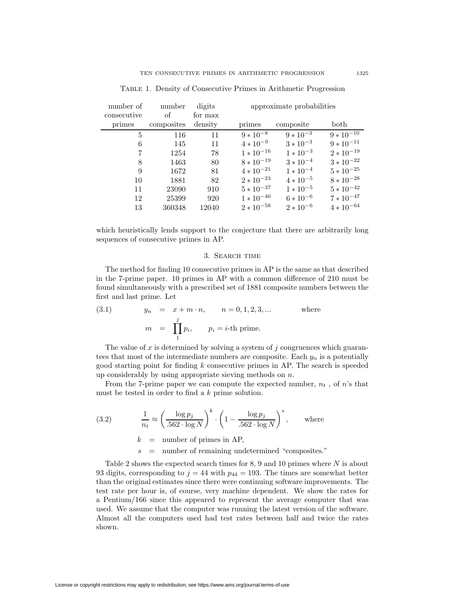| number of   | number     | digits  | approximate probabilities |               |                |
|-------------|------------|---------|---------------------------|---------------|----------------|
| consecutive | of         | for max |                           |               |                |
| primes      | composites | density | primes                    | composite     | both           |
| 5           | 116        | 11      | $9 * 10^{-8}$             | $9 * 10^{-3}$ | $9 * 10^{-10}$ |
| 6           | 145        | 11      | $4 * 10^{-9}$             | $3 * 10^{-3}$ | $9 * 10^{-11}$ |
|             | 1254       | 78      | $1 * 10^{-16}$            | $1 * 10^{-3}$ | $2 * 10^{-19}$ |
| 8           | 1463       | 80      | $8 * 10^{-19}$            | $3 * 10^{-4}$ | $3 * 10^{-22}$ |
| 9           | 1672       | 81      | $4 * 10^{-21}$            | $1 * 10^{-4}$ | $5 * 10^{-25}$ |
| 10          | 1881       | 82      | $2 * 10^{-23}$            | $4 * 10^{-5}$ | $8 * 10^{-28}$ |
| 11          | 23090      | 910     | $5 * 10^{-37}$            | $1 * 10^{-5}$ | $5 * 10^{-42}$ |
| 12          | 25399      | 920     | $1 * 10^{-40}$            | $6 * 10^{-6}$ | $7 * 10^{-47}$ |
| 13          | 360348     | 12040   | $2 * 10^{-58}$            | $2 * 10^{-6}$ | $4 * 10^{-64}$ |

Table 1. Density of Consecutive Primes in Arithmetic Progression

which heuristically lends support to the conjecture that there are arbitrarily long sequences of consecutive primes in AP.

#### 3. Search time

The method for finding 10 consecutive primes in AP is the same as that described in the 7-prime paper. 10 primes in AP with a common difference of 210 must be found simultaneously with a prescribed set of 1881 composite numbers between the first and last prime. Let

(3.1) 
$$
y_n = x + m \cdot n, \qquad n = 0, 1, 2, 3, ...
$$
 where  
\n $m = \prod_{i=1}^{j} p_i, \qquad p_i = i$ -th prime.

The value of x is determined by solving a system of j congruences which guarantees that most of the intermediate numbers are composite. Each  $y_n$  is a potentially good starting point for finding k consecutive primes in AP. The search is speeded up considerably by using appropriate sieving methods on n.

From the 7-prime paper we can compute the expected number,  $n_t$ , of n's that must be tested in order to find a k prime solution.

(3.2) 
$$
\frac{1}{n_t} \approx \left(\frac{\log p_j}{.562 \cdot \log N}\right)^k \cdot \left(1 - \frac{\log p_j}{.562 \cdot \log N}\right)^s, \text{ where}
$$

 $k =$  number of primes in AP,

s = number of remaining undetermined "composites."

Table 2 shows the expected search times for  $8, 9$  and 10 primes where  $N$  is about 93 digits, corresponding to  $j = 44$  with  $p_{44} = 193$ . The times are somewhat better than the original estimates since there were continuing software improvements. The test rate per hour is, of course, very machine dependent. We show the rates for a Pentium/166 since this appeared to represent the average computer that was used. We assume that the computer was running the latest version of the software. Almost all the computers used had test rates between half and twice the rates shown.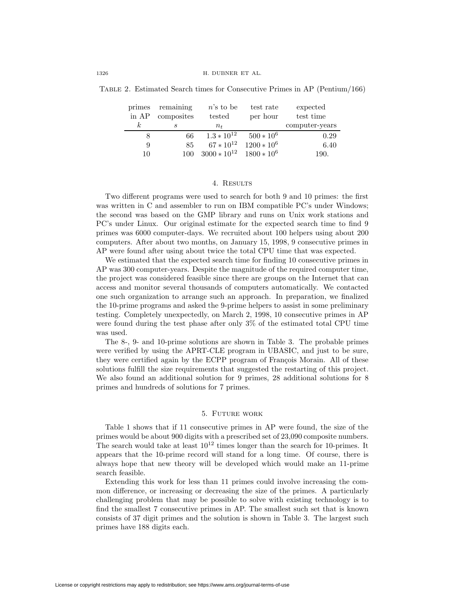| TABLE 2. Estimated Search times for Consecutive Primes in AP (Pentium/166) |  |
|----------------------------------------------------------------------------|--|
|----------------------------------------------------------------------------|--|

| primes   | remaining  | $n$ 's to be     | test rate     | expected       |
|----------|------------|------------------|---------------|----------------|
| in AP    | composites | tested           | per hour      | test time      |
| $\kappa$ | S          | $n_{t}$          |               | computer-years |
|          | 66         | $1.3 * 10^{12}$  | $500 * 10^6$  | 0.29           |
| 9        | 85         | $67 * 10^{12}$   | $1200 * 10^6$ | 6.40           |
| 10       | 100        | $3000 * 10^{12}$ | $1800 * 10^6$ | 190.           |

## 4. RESULTS

Two different programs were used to search for both 9 and 10 primes: the first was written in C and assembler to run on IBM compatible PC's under Windows; the second was based on the GMP library and runs on Unix work stations and PC's under Linux. Our original estimate for the expected search time to find 9 primes was 6000 computer-days. We recruited about 100 helpers using about 200 computers. After about two months, on January 15, 1998, 9 consecutive primes in AP were found after using about twice the total CPU time that was expected.

We estimated that the expected search time for finding 10 consecutive primes in AP was 300 computer-years. Despite the magnitude of the required computer time, the project was considered feasible since there are groups on the Internet that can access and monitor several thousands of computers automatically. We contacted one such organization to arrange such an approach. In preparation, we finalized the 10-prime programs and asked the 9-prime helpers to assist in some preliminary testing. Completely unexpectedly, on March 2, 1998, 10 consecutive primes in AP were found during the test phase after only 3% of the estimated total CPU time was used.

The 8-, 9- and 10-prime solutions are shown in Table 3. The probable primes were verified by using the APRT-CLE program in UBASIC, and just to be sure, they were certified again by the ECPP program of François Morain. All of these solutions fulfill the size requirements that suggested the restarting of this project. We also found an additional solution for 9 primes, 28 additional solutions for 8 primes and hundreds of solutions for 7 primes.

## 5. Future work

Table 1 shows that if 11 consecutive primes in AP were found, the size of the primes would be about 900 digits with a prescribed set of 23,090 composite numbers. The search would take at least  $10^{12}$  times longer than the search for 10-primes. It appears that the 10-prime record will stand for a long time. Of course, there is always hope that new theory will be developed which would make an 11-prime search feasible.

Extending this work for less than 11 primes could involve increasing the common difference, or increasing or decreasing the size of the primes. A particularly challenging problem that may be possible to solve with existing technology is to find the smallest 7 consecutive primes in AP. The smallest such set that is known consists of 37 digit primes and the solution is shown in Table 3. The largest such primes have 188 digits each.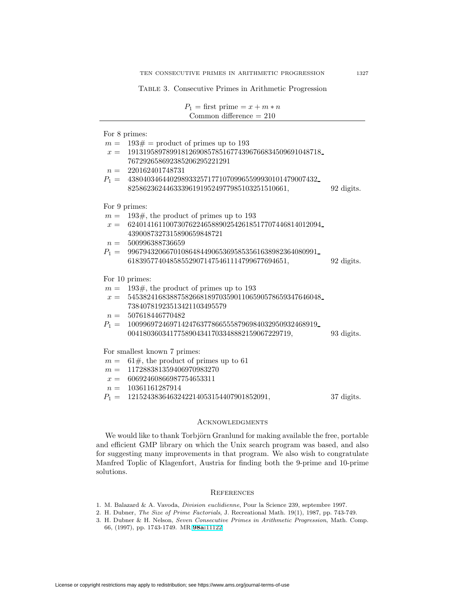Table 3. Consecutive Primes in Arithmetic Progression

| $P_1 = \text{first prime} = x + m * n$<br>Common difference $= 210$ |            |
|---------------------------------------------------------------------|------------|
| For 8 primes:                                                       |            |
| $m = 193 \# =$ product of primes up to 193                          |            |
| $x = 191319589789918126908578516774396766834509691048718$           |            |
| 767292658692385206295221291                                         |            |
| $n = 220162401748731$                                               |            |
| $P_1 = 43804034644029893325717710709965599930101479007432$          |            |
| 825862362446333961919524977985103251510661,                         | 92 digits. |
|                                                                     |            |
| For 9 primes:                                                       |            |
| $m = 193\#,$ the product of primes up to 193                        |            |
| $x = 624014161100730762246588902542618517707446814012094$           |            |
| 4390087327315890659848721                                           |            |
| $n = 500996388736659$                                               |            |
| $P_1 = 99679432066701086484490653695853561638982364080991$          |            |
| 618395774048585529071475461114799677694651,                         | 92 digits. |
| For 10 primes:                                                      |            |
| $m = 193\#,$ the product of primes up to 193                        |            |
| $x = 545382416838875826681897035901106590578659347646048$           |            |
| 73840781923513421103495579                                          |            |
| $n = 507618446770482$                                               |            |
| $P_1 = 10099697246971424763778665558796984032950932468919$          |            |
| 0041803603417758904341703348882159067229719,                        | 93 digits. |
| For smallest known 7 primes:                                        |            |
| $m = 61\#$ , the product of primes up to 61                         |            |
| $m = 117288381359406970983270$                                      |            |
| $x = 60692460866987754653311$                                       |            |
| $n = 10361161287914$                                                |            |
| $P_1 = 1215243836463242214053154407901852091,$                      | 37 digits. |

## Acknowledgments

We would like to thank Torbjörn Granlund for making available the free, portable and efficient GMP library on which the Unix search program was based, and also for suggesting many improvements in that program. We also wish to congratulate Manfred Toplic of Klagenfort, Austria for finding both the 9-prime and 10-prime solutions.

### **REFERENCES**

- 1. M. Balazard & A. Vavoda, Division euclidienne, Pour la Science 239, septembre 1997.
- 2. H. Dubner, The Size of Prime Factorials, J. Recreational Math. 19(1), 1987, pp. 743-749.
- 3. H. Dubner & H. Nelson, Seven Consecutive Primes in Arithmetic Progression, Math. Comp. 66, (1997), pp. 1743-1749. MR **98a:**[11122](http://www.ams.org/mathscinet-getitem?mr=98a:11122)